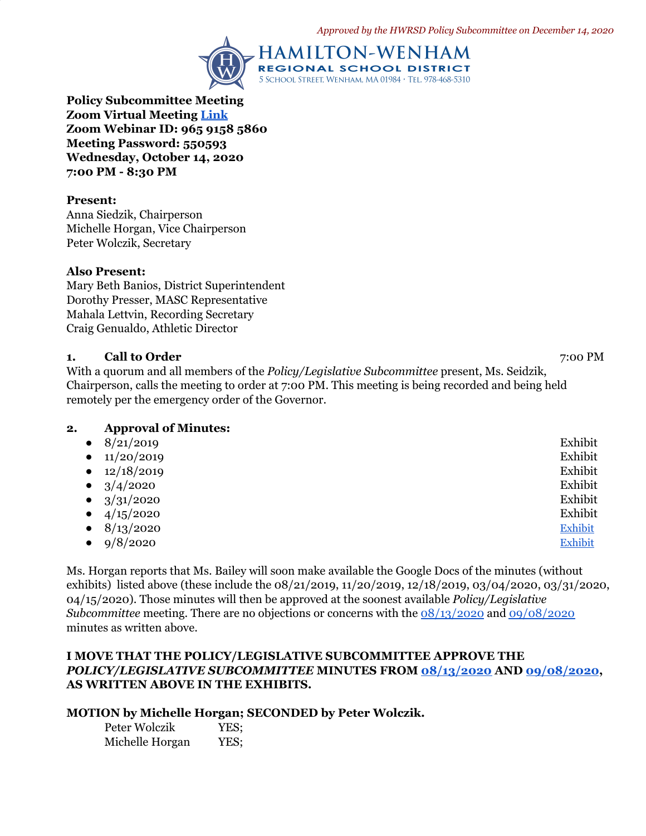

**Policy Subcommittee Meeting Zoom Virtual Meeting [Link](https://zoom.us/j/96591585860?pwd=aTJpQTNlTjJrbUFWWWc2MDdPNW1HZz09) Zoom Webinar ID: 965 9158 5860 Meeting Password: 550593 Wednesday, October 14, 2020 7:00 PM - 8:30 PM**

#### **Present:**

Anna Siedzik, Chairperson Michelle Horgan, Vice Chairperson Peter Wolczik, Secretary

#### **Also Present:**

Mary Beth Banios, District Superintendent Dorothy Presser, MASC Representative Mahala Lettvin, Recording Secretary Craig Genualdo, Athletic Director

#### **1. Call to Order** 7:00 PM

With a quorum and all members of the *Policy/Legislative Subcommittee* present, Ms. Seidzik, Chairperson, calls the meeting to order at 7:00 PM. This meeting is being recorded and being held remotely per the emergency order of the Governor.

# **2. Approval of Minutes:**

| $\bullet$ | 8/21/2019  | Exhibit        |
|-----------|------------|----------------|
| $\bullet$ | 11/20/2019 | Exhibit        |
| $\bullet$ | 12/18/2019 | Exhibit        |
| $\bullet$ | 3/4/2020   | Exhibit        |
| $\bullet$ | 3/31/2020  | Exhibit        |
| $\bullet$ | 4/15/2020  | Exhibit        |
| $\bullet$ | 8/13/2020  | Exhibit        |
| $\bullet$ | 9/8/2020   | <b>Exhibit</b> |

Ms. Horgan reports that Ms. Bailey will soon make available the Google Docs of the minutes (without exhibits) listed above (these include the 08/21/2019, 11/20/2019, 12/18/2019, 03/04/2020, 03/31/2020, 04/15/2020). Those minutes will then be approved at the soonest available *Policy/Legislative Subcommittee* meeting. There are no objections or concerns with the [08/13/2020](https://drive.google.com/file/d/1K4k6TCVfr_NAm8E9IWoMWNfuP919kkb1/view?usp=sharing) and [09/08/2020](https://drive.google.com/file/d/1KmLA6eLRLl9vDCQvkBFpr1KF8CwtzsGu/view?usp=sharing) minutes as written above.

# **I MOVE THAT THE POLICY/LEGISLATIVE SUBCOMMITTEE APPROVE THE** *POLICY/LEGISLATIVE SUBCOMMITTEE* **MINUTES FROM [08/13/2020](https://drive.google.com/file/d/1K4k6TCVfr_NAm8E9IWoMWNfuP919kkb1/view?usp=sharing) AND [09/08/2020](https://drive.google.com/file/d/1KmLA6eLRLl9vDCQvkBFpr1KF8CwtzsGu/view?usp=sharing), AS WRITTEN ABOVE IN THE EXHIBITS.**

## **MOTION by Michelle Horgan; SECONDED by Peter Wolczik.**

Peter Wolczik YES; Michelle Horgan YES;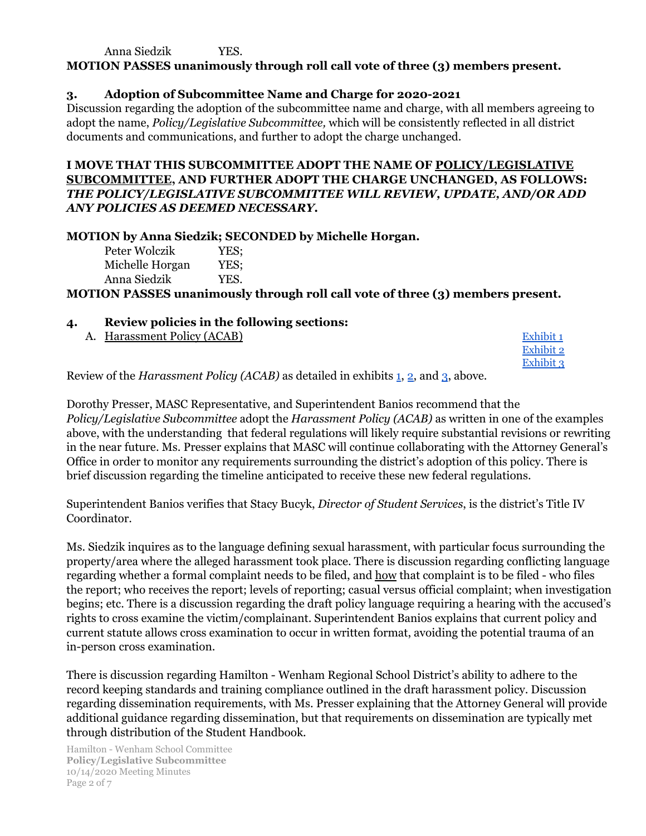Anna Siedzik YES.

**MOTION PASSES unanimously through roll call vote of three (3) members present.**

# **3. Adoption of Subcommittee Name and Charge for 2020-2021**

Discussion regarding the adoption of the subcommittee name and charge, with all members agreeing to adopt the name, *Policy/Legislative Subcommittee,* which will be consistently reflected in all district documents and communications, and further to adopt the charge unchanged.

# **I MOVE THAT THIS SUBCOMMITTEE ADOPT THE NAME OF POLICY/LEGISLATIVE SUBCOMMITTEE, AND FURTHER ADOPT THE CHARGE UNCHANGED, AS FOLLOWS:** *THE POLICY/LEGISLATIVE SUBCOMMITTEE WILL REVIEW, UPDATE, AND/OR ADD ANY POLICIES AS DEEMED NECESSARY.*

## **MOTION by Anna Siedzik; SECONDED by Michelle Horgan.**

Peter Wolczik YES; Michelle Horgan YES; Anna Siedzik YES.

**MOTION PASSES unanimously through roll call vote of three (3) members present.**

- **4. Review policies in the following sections:**
	-

| A. Harassment Policy (ACAB)                                                                        | Exhibit 1 |
|----------------------------------------------------------------------------------------------------|-----------|
|                                                                                                    | Exhibit 2 |
|                                                                                                    | Exhibit 3 |
| $\mu_{\text{QW}}$ of the <i>Haracement Policu (ACAR)</i> as detailed in exhibits 1.2, and 2, above |           |

Review of the *Harassment Policy (ACAB)* as detailed in exhibits [1](https://drive.google.com/file/d/1R4Myd5p7sdYD6zIZBM3-hb1xYbkn-sWf/view?usp=sharing), [2](https://drive.google.com/file/d/1bwi0oFSr0O0UlTtVSr1an6e1l2UppDPY/view?usp=sharing), and [3](https://drive.google.com/file/d/1YEUVDaVhLDTCBU9EELScuYwTDSuN_oc_/view?usp=sharing), above.

Dorothy Presser, MASC Representative, and Superintendent Banios recommend that the *Policy/Legislative Subcommittee* adopt the *Harassment Policy (ACAB)* as written in one of the examples above, with the understanding that federal regulations will likely require substantial revisions or rewriting in the near future. Ms. Presser explains that MASC will continue collaborating with the Attorney General's Office in order to monitor any requirements surrounding the district's adoption of this policy. There is brief discussion regarding the timeline anticipated to receive these new federal regulations.

Superintendent Banios verifies that Stacy Bucyk, *Director of Student Services*, is the district's Title IV Coordinator.

Ms. Siedzik inquires as to the language defining sexual harassment, with particular focus surrounding the property/area where the alleged harassment took place. There is discussion regarding conflicting language regarding whether a formal complaint needs to be filed, and how that complaint is to be filed - who files the report; who receives the report; levels of reporting; casual versus official complaint; when investigation begins; etc. There is a discussion regarding the draft policy language requiring a hearing with the accused's rights to cross examine the victim/complainant. Superintendent Banios explains that current policy and current statute allows cross examination to occur in written format, avoiding the potential trauma of an in-person cross examination.

There is discussion regarding Hamilton - Wenham Regional School District's ability to adhere to the record keeping standards and training compliance outlined in the draft harassment policy. Discussion regarding dissemination requirements, with Ms. Presser explaining that the Attorney General will provide additional guidance regarding dissemination, but that requirements on dissemination are typically met through distribution of the Student Handbook.

Hamilton - Wenham School Committee **Policy/Legislative Subcommittee** 10/14/2020 Meeting Minutes Page 2 of 7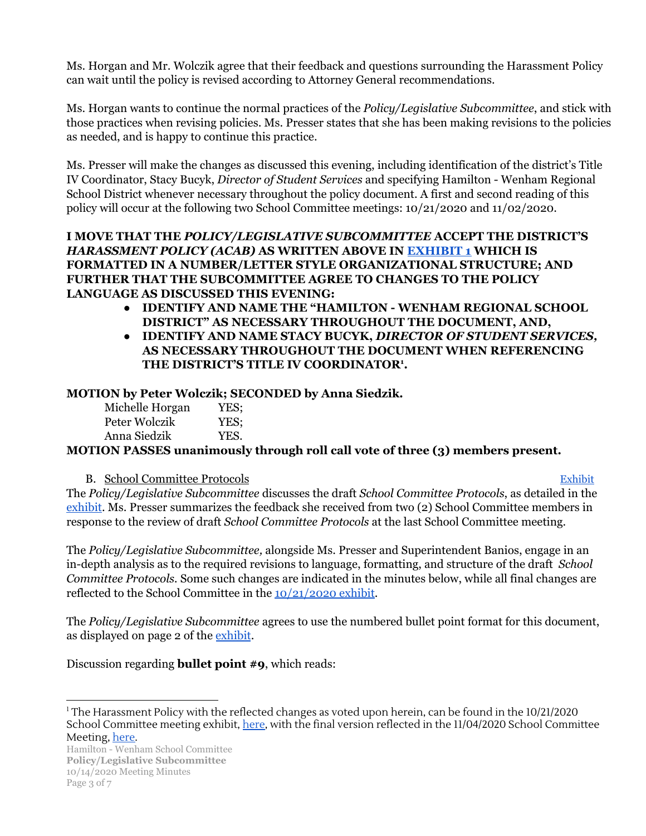Ms. Horgan and Mr. Wolczik agree that their feedback and questions surrounding the Harassment Policy can wait until the policy is revised according to Attorney General recommendations.

Ms. Horgan wants to continue the normal practices of the *Policy/Legislative Subcommittee*, and stick with those practices when revising policies. Ms. Presser states that she has been making revisions to the policies as needed, and is happy to continue this practice.

Ms. Presser will make the changes as discussed this evening, including identification of the district's Title IV Coordinator, Stacy Bucyk, *Director of Student Services* and specifying Hamilton - Wenham Regional School District whenever necessary throughout the policy document. A first and second reading of this policy will occur at the following two School Committee meetings: 10/21/2020 and 11/02/2020.

# **I MOVE THAT THE** *POLICY/LEGISLATIVE SUBCOMMITTEE* **ACCEPT THE DISTRICT'S** *HARASSMENT POLICY (ACAB)* **AS WRITTEN ABOVE IN [EXHIBIT](https://drive.google.com/file/d/1R4Myd5p7sdYD6zIZBM3-hb1xYbkn-sWf/view?usp=sharing) 1 WHICH IS FORMATTED IN A NUMBER/LETTER STYLE ORGANIZATIONAL STRUCTURE; AND FURTHER THAT THE SUBCOMMITTEE AGREE TO CHANGES TO THE POLICY LANGUAGE AS DISCUSSED THIS EVENING:**

- **● IDENTIFY AND NAME THE "HAMILTON - WENHAM REGIONAL SCHOOL DISTRICT" AS NECESSARY THROUGHOUT THE DOCUMENT, AND,**
- **● IDENTIFY AND NAME STACY BUCYK,** *DIRECTOR OF STUDENT SERVICES,* **AS NECESSARY THROUGHOUT THE DOCUMENT WHEN REFERENCING THE DISTRICT'S TITLE IV COORDINATOR . 1**

# **MOTION by Peter Wolczik; SECONDED by Anna Siedzik.**

| Michelle Horgan | YES; |
|-----------------|------|
| Peter Wolczik   | YES: |
| Anna Siedzik    | YES. |

# **MOTION PASSES unanimously through roll call vote of three (3) members present.**

# B. School Committee Protocols [Exhibit](https://drive.google.com/file/d/1TIrPEDg_Oq0ojEMuIcAhPyxwduCwIUVu/view?usp=sharing)

The *Policy/Legislative Subcommittee* discusses the draft *School Committee Protocols*, as detailed in the [exhibit.](https://drive.google.com/file/d/1TIrPEDg_Oq0ojEMuIcAhPyxwduCwIUVu/view?usp=sharing) Ms. Presser summarizes the feedback she received from two (2) School Committee members in response to the review of draft *School Committee Protocols* at the last School Committee meeting.

The *Policy/Legislative Subcommittee,* alongside Ms. Presser and Superintendent Banios, engage in an in-depth analysis as to the required revisions to language, formatting, and structure of the draft *School Committee Protocols.* Some such changes are indicated in the minutes below, while all final changes are reflected to the School Committee in the [10/21/2020](https://drive.google.com/file/d/1LCrYhWWLC-vZ1r0KD99EpT-Vru_CLoeh/view?usp=sharing) exhibit.

The *Policy/Legislative Subcommittee* agrees to use the numbered bullet point format for this document, as displayed on page 2 of the [exhibit](https://drive.google.com/file/d/1TIrPEDg_Oq0ojEMuIcAhPyxwduCwIUVu/view?usp=sharing).

Discussion regarding **bullet point #9**, which reads:

<sup>&</sup>lt;sup>1</sup> The Harassment Policy with the reflected changes as voted upon herein, can be found in the  $10/21/2020$ School Committee meeting exhibit, [here](https://drive.google.com/file/d/1xR3SbeOM7dSG1f1bVCh00DS5FS_Ckne1/view?usp=sharing), with the final version reflected in the 11/04/2020 School Committee Meeting, [here](https://drive.google.com/file/d/1xR3SbeOM7dSG1f1bVCh00DS5FS_Ckne1/view).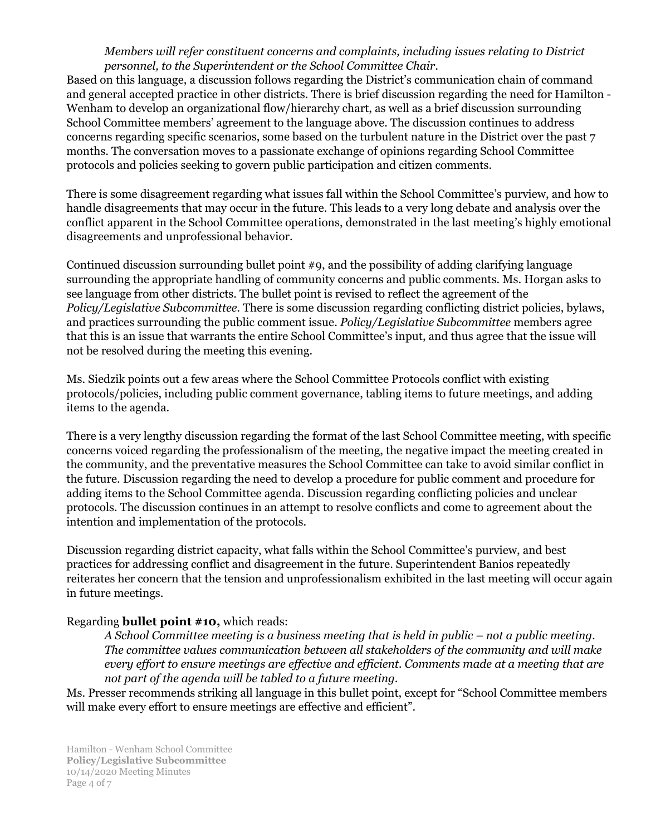## *Members will refer constituent concerns and complaints, including issues relating to District personnel, to the Superintendent or the School Committee Chair.*

Based on this language, a discussion follows regarding the District's communication chain of command and general accepted practice in other districts. There is brief discussion regarding the need for Hamilton - Wenham to develop an organizational flow/hierarchy chart, as well as a brief discussion surrounding School Committee members' agreement to the language above. The discussion continues to address concerns regarding specific scenarios, some based on the turbulent nature in the District over the past 7 months. The conversation moves to a passionate exchange of opinions regarding School Committee protocols and policies seeking to govern public participation and citizen comments.

There is some disagreement regarding what issues fall within the School Committee's purview, and how to handle disagreements that may occur in the future. This leads to a very long debate and analysis over the conflict apparent in the School Committee operations, demonstrated in the last meeting's highly emotional disagreements and unprofessional behavior.

Continued discussion surrounding bullet point #9, and the possibility of adding clarifying language surrounding the appropriate handling of community concerns and public comments. Ms. Horgan asks to see language from other districts. The bullet point is revised to reflect the agreement of the *Policy/Legislative Subcommittee.* There is some discussion regarding conflicting district policies, bylaws, and practices surrounding the public comment issue. *Policy/Legislative Subcommittee* members agree that this is an issue that warrants the entire School Committee's input, and thus agree that the issue will not be resolved during the meeting this evening.

Ms. Siedzik points out a few areas where the School Committee Protocols conflict with existing protocols/policies, including public comment governance, tabling items to future meetings, and adding items to the agenda.

There is a very lengthy discussion regarding the format of the last School Committee meeting, with specific concerns voiced regarding the professionalism of the meeting, the negative impact the meeting created in the community, and the preventative measures the School Committee can take to avoid similar conflict in the future. Discussion regarding the need to develop a procedure for public comment and procedure for adding items to the School Committee agenda. Discussion regarding conflicting policies and unclear protocols. The discussion continues in an attempt to resolve conflicts and come to agreement about the intention and implementation of the protocols.

Discussion regarding district capacity, what falls within the School Committee's purview, and best practices for addressing conflict and disagreement in the future. Superintendent Banios repeatedly reiterates her concern that the tension and unprofessionalism exhibited in the last meeting will occur again in future meetings.

# Regarding **bullet point #10,** which reads:

*A School Committee meeting is a business meeting that is held in public – not a public meeting. The committee values communication between all stakeholders of the community and will make* every effort to ensure meetings are effective and efficient. Comments made at a meeting that are *not part of the agenda will be tabled to a future meeting.*

Ms. Presser recommends striking all language in this bullet point, except for "School Committee members will make every effort to ensure meetings are effective and efficient".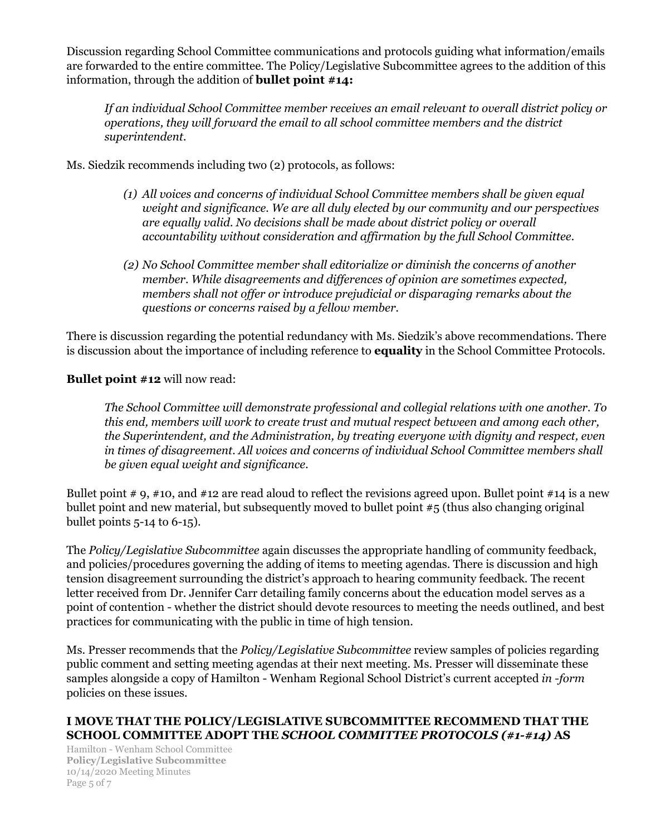Discussion regarding School Committee communications and protocols guiding what information/emails are forwarded to the entire committee. The Policy/Legislative Subcommittee agrees to the addition of this information, through the addition of **bullet point #14:**

*If an individual School Committee member receives an email relevant to overall district policy or operations, they will forward the email to all school committee members and the district superintendent.*

Ms. Siedzik recommends including two (2) protocols, as follows:

- *(1) All voices and concerns of individual School Committee members shall be given equal weight and significance. We are all duly elected by our community and our perspectives are equally valid. No decisions shall be made about district policy or overall accountability without consideration and af irmation by the full School Committee.*
- *(2) No School Committee member shall editorialize or diminish the concerns of another member. While disagreements and dif erences of opinion are sometimes expected, members shall not of er or introduce prejudicial or disparaging remarks about the questions or concerns raised by a fellow member.*

There is discussion regarding the potential redundancy with Ms. Siedzik's above recommendations. There is discussion about the importance of including reference to **equality** in the School Committee Protocols.

**Bullet point #12** will now read:

*The School Committee will demonstrate professional and collegial relations with one another. To this end, members will work to create trust and mutual respect between and among each other, the Superintendent, and the Administration, by treating everyone with dignity and respect, even in times of disagreement. All voices and concerns of individual School Committee members shall be given equal weight and significance.*

Bullet point # 9, #10, and #12 are read aloud to reflect the revisions agreed upon. Bullet point #14 is a new bullet point and new material, but subsequently moved to bullet point #5 (thus also changing original bullet points 5-14 to 6-15).

The *Policy/Legislative Subcommittee* again discusses the appropriate handling of community feedback, and policies/procedures governing the adding of items to meeting agendas. There is discussion and high tension disagreement surrounding the district's approach to hearing community feedback. The recent letter received from Dr. Jennifer Carr detailing family concerns about the education model serves as a point of contention - whether the district should devote resources to meeting the needs outlined, and best practices for communicating with the public in time of high tension.

Ms. Presser recommends that the *Policy/Legislative Subcommittee* review samples of policies regarding public comment and setting meeting agendas at their next meeting. Ms. Presser will disseminate these samples alongside a copy of Hamilton - Wenham Regional School District's current accepted *in -form* policies on these issues.

# **I MOVE THAT THE POLICY/LEGISLATIVE SUBCOMMITTEE RECOMMEND THAT THE SCHOOL COMMITTEE ADOPT THE** *SCHOOL COMMITTEE PROTOCOLS (#1-#14)* **AS**

Hamilton - Wenham School Committee **Policy/Legislative Subcommittee** 10/14/2020 Meeting Minutes Page 5 of 7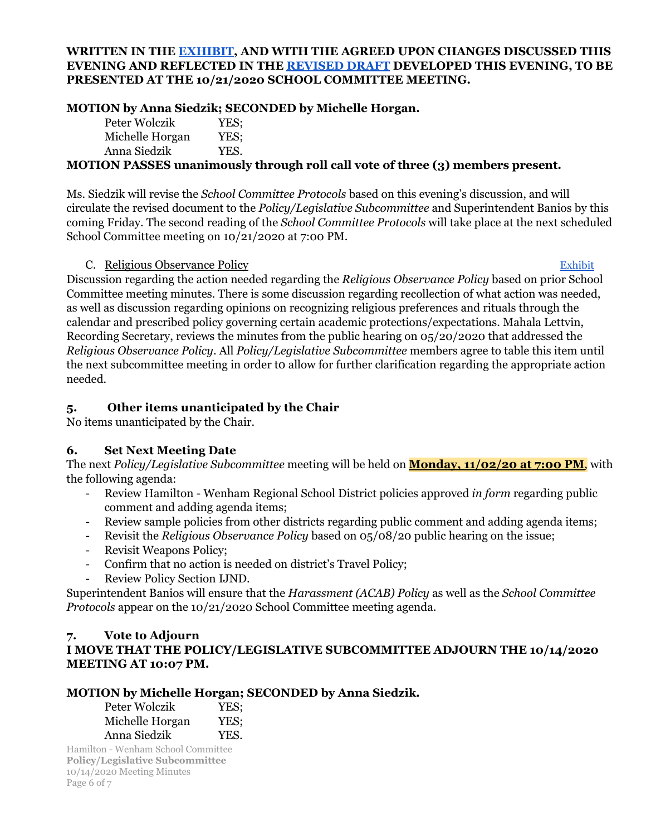## **WRITTEN IN THE [EXHIBIT,](https://drive.google.com/file/d/1TIrPEDg_Oq0ojEMuIcAhPyxwduCwIUVu/view?usp=sharing) AND WITH THE AGREED UPON CHANGES DISCUSSED THIS EVENING AND REFLECTED IN THE [REVISED](https://drive.google.com/file/d/1LCrYhWWLC-vZ1r0KD99EpT-Vru_CLoeh/view?usp=sharing) DRAFT DEVELOPED THIS EVENING, TO BE PRESENTED AT THE 10/21/2020 SCHOOL COMMITTEE MEETING.**

# **MOTION by Anna Siedzik; SECONDED by Michelle Horgan.**

| Peter Wolczik   | YES; |
|-----------------|------|
| Michelle Horgan | YES: |
| Anna Siedzik    | YES. |
|                 |      |

## **MOTION PASSES unanimously through roll call vote of three (3) members present.**

Ms. Siedzik will revise the *School Committee Protocols* based on this evening's discussion, and will circulate the revised document to the *Policy/Legislative Subcommittee* and Superintendent Banios by this coming Friday. The second reading of the *School Committee Protocols* will take place at the next scheduled School Committee meeting on 10/21/2020 at 7:00 PM.

#### C. Religious Observance Policy **[Exhibit](https://docs.google.com/document/d/1JwThR3hWEVgEo_7JNHJ3mGKWjll0puRphK9KDEcP2nk/edit?usp=sharing)** Exhibit

Discussion regarding the action needed regarding the *Religious Observance Policy* based on prior School Committee meeting minutes. There is some discussion regarding recollection of what action was needed, as well as discussion regarding opinions on recognizing religious preferences and rituals through the calendar and prescribed policy governing certain academic protections/expectations. Mahala Lettvin, Recording Secretary, reviews the minutes from the public hearing on 05/20/2020 that addressed the *Religious Observance Policy*. All *Policy/Legislative Subcommittee* members agree to table this item until the next subcommittee meeting in order t0 allow for further clarification regarding the appropriate action needed.

# **5. Other items unanticipated by the Chair**

No items unanticipated by the Chair.

# **6. Set Next Meeting Date**

The next *Policy/Legislative Subcommittee* meeting will be held on **Monday, 11/02/20 at 7:00 PM**, with the following agenda:

- Review Hamilton Wenham Regional School District policies approved *in form* regarding public comment and adding agenda items;
- Review sample policies from other districts regarding public comment and adding agenda items;
- Revisit the *Religious Observance Policy* based on 05/08/20 public hearing on the issue;
- Revisit Weapons Policy;
- Confirm that no action is needed on district's Travel Policy;
- Review Policy Section IJND.

Superintendent Banios will ensure that the *Harassment (ACAB) Policy* as well as the *School Committee Protocols* appear on the 10/21/2020 School Committee meeting agenda.

# **7. Vote to Adjourn I MOVE THAT THE POLICY/LEGISLATIVE SUBCOMMITTEE ADJOURN THE 10/14/2020 MEETING AT 10:07 PM.**

# **MOTION by Michelle Horgan; SECONDED by Anna Siedzik.**

| Peter Wolczik   | YES: |
|-----------------|------|
| Michelle Horgan | YES; |
| Anna Siedzik    | YES. |

Hamilton - Wenham School Committee **Policy/Legislative Subcommittee** 10/14/2020 Meeting Minutes Page 6 of 7